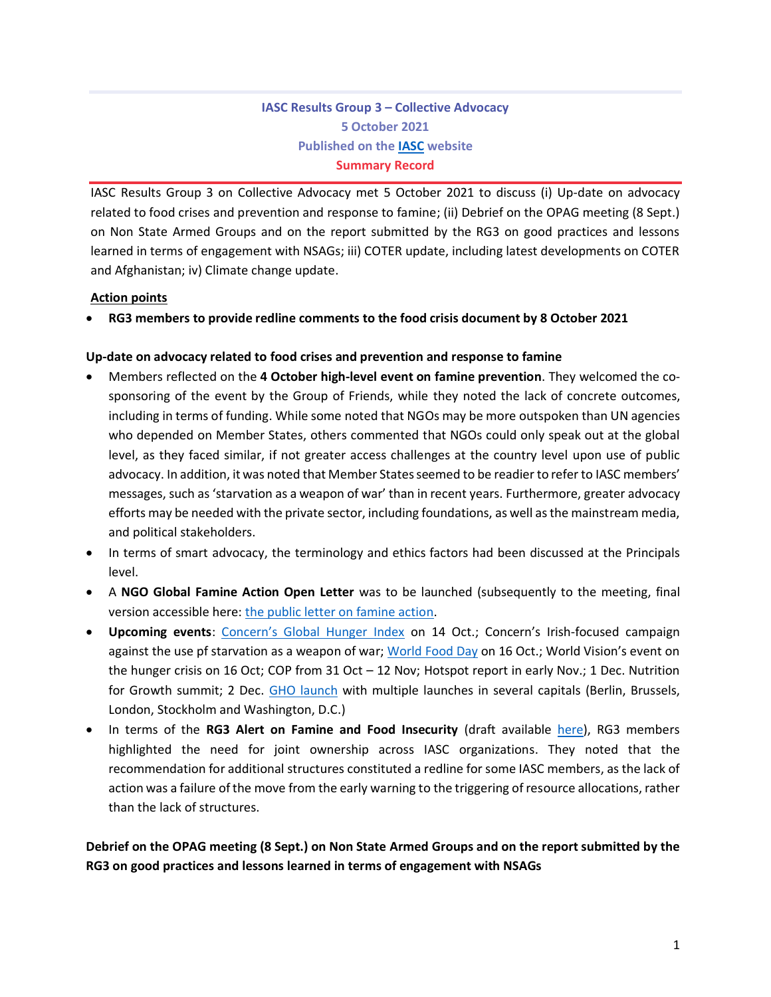# **IASC Results Group 3 – Collective Advocacy 5 October 2021 Published on the [IASC](https://interagencystandingcommittee.org/inter-agency-standing-committee/iasc-proposals-address-inconsistency-unlocking-and-disbursing-funds) website Summary Record**

IASC Results Group 3 on Collective Advocacy met 5 October 2021 to discuss (i) Up-date on advocacy related to food crises and prevention and response to famine; (ii) Debrief on the OPAG meeting (8 Sept.) on Non State Armed Groups and on the report submitted by the RG3 on good practices and lessons learned in terms of engagement with NSAGs; iii) COTER update, including latest developments on COTER and Afghanistan; iv) Climate change update.

## **Action points**

• **RG3 members to provide redline comments to the food crisis document by 8 October 2021**

## **Up-date on advocacy related to food crises and prevention and response to famine**

- Members reflected on the **4 October high-level event on famine prevention**. They welcomed the cosponsoring of the event by the Group of Friends, while they noted the lack of concrete outcomes, including in terms of funding. While some noted that NGOs may be more outspoken than UN agencies who depended on Member States, others commented that NGOs could only speak out at the global level, as they faced similar, if not greater access challenges at the country level upon use of public advocacy. In addition, it was noted that Member States seemed to be readier to refer to IASC members' messages, such as 'starvation as a weapon of war' than in recent years. Furthermore, greater advocacy efforts may be needed with the private sector, including foundations, as well asthe mainstream media, and political stakeholders.
- In terms of smart advocacy, the terminology and ethics factors had been discussed at the Principals level.
- A **NGO Global Famine Action Open Letter** was to be launched (subsequently to the meeting, final version accessible here: [the public letter on famine action.](https://docs.google.com/document/d/18FKMC6Wi4R8nVYQUlGIGcIOMrT66RimHjJxDO4pGdqo/edit?usp=sharing)
- **Upcoming events**: [Concern's Global Hunger Index](https://www.globalhungerindex.org/) on 14 Oct.; Concern's Irish-focused campaign against the use pf starvation as a weapon of war[; World Food Day](https://www.fao.org/world-food-day/en) on 16 Oct.; World Vision's event on the hunger crisis on 16 Oct; COP from 31 Oct - 12 Nov; Hotspot report in early Nov.; 1 Dec. Nutrition for Growth summit; 2 Dec. [GHO launch](https://www.unocha.org/2022gho) with multiple launches in several capitals (Berlin, Brussels, London, Stockholm and Washington, D.C.)
- In terms of the **RG3 Alert on Famine and Food Insecurity** (draft available [here\)](https://docs.google.com/document/d/19oU3RvC6iiKp-qNxHWSyQxoM277wnXPhIeJE1vZDSh0/edit?usp=sharing), RG3 members highlighted the need for joint ownership across IASC organizations. They noted that the recommendation for additional structures constituted a redline for some IASC members, as the lack of action was a failure of the move from the early warning to the triggering of resource allocations, rather than the lack of structures.

**Debrief on the OPAG meeting (8 Sept.) on Non State Armed Groups and on the report submitted by the RG3 on good practices and lessons learned in terms of engagement with NSAGs**